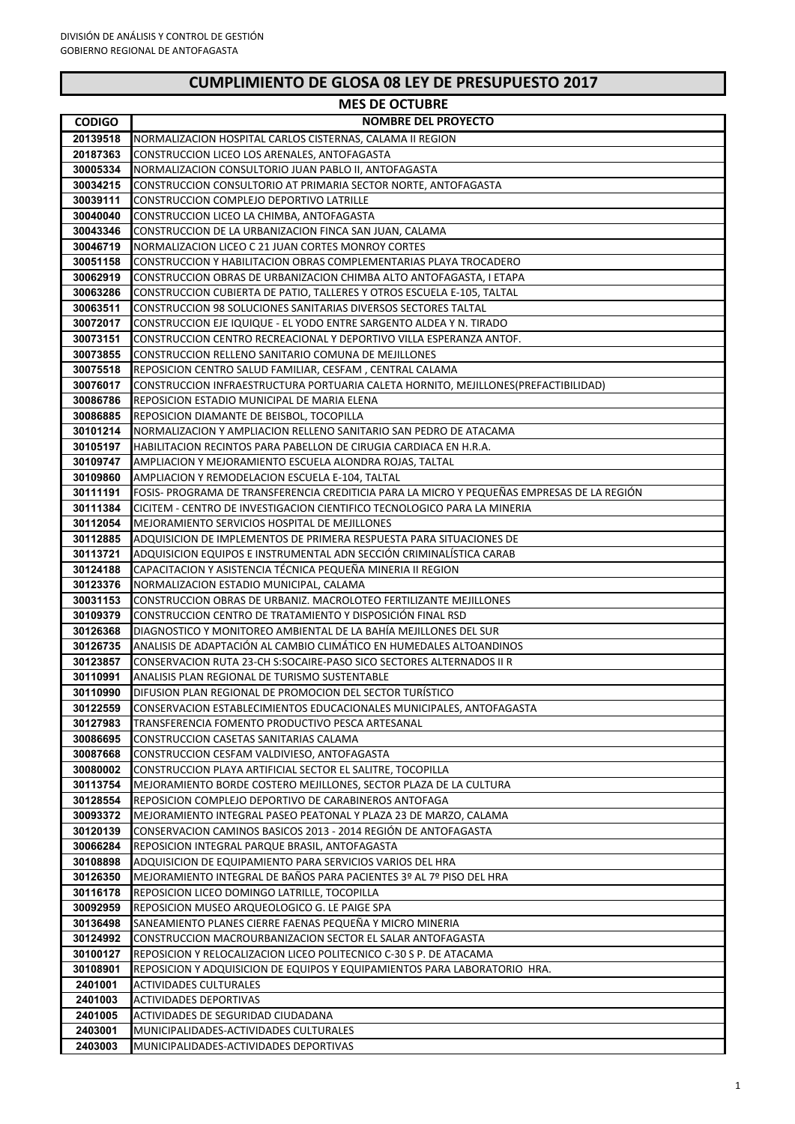| <b>MES DE OCTUBRE</b> |                                                                                                                                 |  |
|-----------------------|---------------------------------------------------------------------------------------------------------------------------------|--|
| <b>CODIGO</b>         | <b>NOMBRE DEL PROYECTO</b>                                                                                                      |  |
| 20139518              | NORMALIZACION HOSPITAL CARLOS CISTERNAS, CALAMA II REGION                                                                       |  |
| 20187363              | CONSTRUCCION LICEO LOS ARENALES, ANTOFAGASTA                                                                                    |  |
| 30005334              | NORMALIZACION CONSULTORIO JUAN PABLO II, ANTOFAGASTA                                                                            |  |
| 30034215              | CONSTRUCCION CONSULTORIO AT PRIMARIA SECTOR NORTE, ANTOFAGASTA                                                                  |  |
| 30039111              | CONSTRUCCION COMPLEJO DEPORTIVO LATRILLE                                                                                        |  |
| 30040040              | CONSTRUCCION LICEO LA CHIMBA, ANTOFAGASTA                                                                                       |  |
| 30043346              | CONSTRUCCION DE LA URBANIZACION FINCA SAN JUAN, CALAMA                                                                          |  |
| 30046719              | NORMALIZACION LICEO C 21 JUAN CORTES MONROY CORTES                                                                              |  |
| 30051158              | CONSTRUCCION Y HABILITACION OBRAS COMPLEMENTARIAS PLAYA TROCADERO                                                               |  |
| 30062919              | CONSTRUCCION OBRAS DE URBANIZACION CHIMBA ALTO ANTOFAGASTA, I ETAPA                                                             |  |
| 30063286              | CONSTRUCCION CUBIERTA DE PATIO, TALLERES Y OTROS ESCUELA E-105, TALTAL                                                          |  |
| 30063511              | <b>CONSTRUCCION 98 SOLUCIONES SANITARIAS DIVERSOS SECTORES TALTAL</b>                                                           |  |
| 30072017              | CONSTRUCCION EJE IQUIQUE - EL YODO ENTRE SARGENTO ALDEA Y N. TIRADO                                                             |  |
| 30073151              | CONSTRUCCION CENTRO RECREACIONAL Y DEPORTIVO VILLA ESPERANZA ANTOF.                                                             |  |
| 30073855              | CONSTRUCCION RELLENO SANITARIO COMUNA DE MEJILLONES                                                                             |  |
| 30075518              | REPOSICION CENTRO SALUD FAMILIAR, CESFAM, CENTRAL CALAMA                                                                        |  |
| 30076017              | CONSTRUCCION INFRAESTRUCTURA PORTUARIA CALETA HORNITO, MEJILLONES (PREFACTIBILIDAD)                                             |  |
| 30086786              | REPOSICION ESTADIO MUNICIPAL DE MARIA ELENA                                                                                     |  |
| 30086885              | REPOSICION DIAMANTE DE BEISBOL, TOCOPILLA                                                                                       |  |
| 30101214<br>30105197  | NORMALIZACION Y AMPLIACION RELLENO SANITARIO SAN PEDRO DE ATACAMA                                                               |  |
| 30109747              | HABILITACION RECINTOS PARA PABELLON DE CIRUGIA CARDIACA EN H.R.A.<br>AMPLIACION Y MEJORAMIENTO ESCUELA ALONDRA ROJAS, TALTAL    |  |
| 30109860              | AMPLIACION Y REMODELACION ESCUELA E-104, TALTAL                                                                                 |  |
| 30111191              | FOSIS- PROGRAMA DE TRANSFERENCIA CREDITICIA PARA LA MICRO Y PEQUEÑAS EMPRESAS DE LA REGIÓN                                      |  |
| 30111384              | CICITEM - CENTRO DE INVESTIGACION CIENTIFICO TECNOLOGICO PARA LA MINERIA                                                        |  |
| 30112054              | MEJORAMIENTO SERVICIOS HOSPITAL DE MEJILLONES                                                                                   |  |
| 30112885              | ADQUISICION DE IMPLEMENTOS DE PRIMERA RESPUESTA PARA SITUACIONES DE                                                             |  |
| 30113721              | ADQUISICION EQUIPOS E INSTRUMENTAL ADN SECCIÓN CRIMINALÍSTICA CARAB                                                             |  |
| 30124188              | CAPACITACION Y ASISTENCIA TÉCNICA PEQUEÑA MINERIA II REGION                                                                     |  |
| 30123376              | NORMALIZACION ESTADIO MUNICIPAL, CALAMA                                                                                         |  |
| 30031153              | CONSTRUCCION OBRAS DE URBANIZ. MACROLOTEO FERTILIZANTE MEJILLONES                                                               |  |
| 30109379              | CONSTRUCCION CENTRO DE TRATAMIENTO Y DISPOSICIÓN FINAL RSD                                                                      |  |
| 30126368              | DIAGNOSTICO Y MONITOREO AMBIENTAL DE LA BAHÍA MEJILLONES DEL SUR                                                                |  |
| 30126735              | ANALISIS DE ADAPTACIÓN AL CAMBIO CLIMÁTICO EN HUMEDALES ALTOANDINOS                                                             |  |
| 30123857              | ICONSERVACION RUTA 23-CH S:SOCAIRE-PASO SICO SECTORES ALTERNADOS II R                                                           |  |
| 30110991              | ANALISIS PLAN REGIONAL DE TURISMO SUSTENTABLE                                                                                   |  |
| 30110990              | DIFUSION PLAN REGIONAL DE PROMOCION DEL SECTOR TURISTICO                                                                        |  |
| 30122559              | CONSERVACION ESTABLECIMIENTOS EDUCACIONALES MUNICIPALES, ANTOFAGASTA                                                            |  |
| 30127983              | TRANSFERENCIA FOMENTO PRODUCTIVO PESCA ARTESANAL                                                                                |  |
| 30086695              | CONSTRUCCION CASETAS SANITARIAS CALAMA                                                                                          |  |
| 30087668              | CONSTRUCCION CESFAM VALDIVIESO, ANTOFAGASTA                                                                                     |  |
| 30080002<br>30113754  | CONSTRUCCION PLAYA ARTIFICIAL SECTOR EL SALITRE, TOCOPILLA<br>MEJORAMIENTO BORDE COSTERO MEJILLONES, SECTOR PLAZA DE LA CULTURA |  |
| 30128554              | REPOSICION COMPLEJO DEPORTIVO DE CARABINEROS ANTOFAGA                                                                           |  |
| 30093372              | MEJORAMIENTO INTEGRAL PASEO PEATONAL Y PLAZA 23 DE MARZO, CALAMA                                                                |  |
| 30120139              | CONSERVACION CAMINOS BASICOS 2013 - 2014 REGION DE ANTOFAGASTA                                                                  |  |
| 30066284              | REPOSICION INTEGRAL PARQUE BRASIL, ANTOFAGASTA                                                                                  |  |
| 30108898              | ADQUISICION DE EQUIPAMIENTO PARA SERVICIOS VARIOS DEL HRA                                                                       |  |
| 30126350              | MEJORAMIENTO INTEGRAL DE BAÑOS PARA PACIENTES 3º AL 7º PISO DEL HRA                                                             |  |
| 30116178              | REPOSICION LICEO DOMINGO LATRILLE, TOCOPILLA                                                                                    |  |
| 30092959              | REPOSICION MUSEO ARQUEOLOGICO G. LE PAIGE SPA                                                                                   |  |
| 30136498              | SANEAMIENTO PLANES CIERRE FAENAS PEQUEÑA Y MICRO MINERIA                                                                        |  |
| 30124992              | CONSTRUCCION MACROURBANIZACION SECTOR EL SALAR ANTOFAGASTA                                                                      |  |
| 30100127              | REPOSICION Y RELOCALIZACION LICEO POLITECNICO C-30 S P. DE ATACAMA                                                              |  |
| 30108901              | REPOSICION Y ADQUISICION DE EQUIPOS Y EQUIPAMIENTOS PARA LABORATORIO HRA.                                                       |  |
| 2401001               | ACTIVIDADES CULTURALES                                                                                                          |  |
| 2401003               | <b>ACTIVIDADES DEPORTIVAS</b>                                                                                                   |  |
| 2401005               | ACTIVIDADES DE SEGURIDAD CIUDADANA                                                                                              |  |
| 2403001               | MUNICIPALIDADES-ACTIVIDADES CULTURALES                                                                                          |  |
| 2403003               | MUNICIPALIDADES-ACTIVIDADES DEPORTIVAS                                                                                          |  |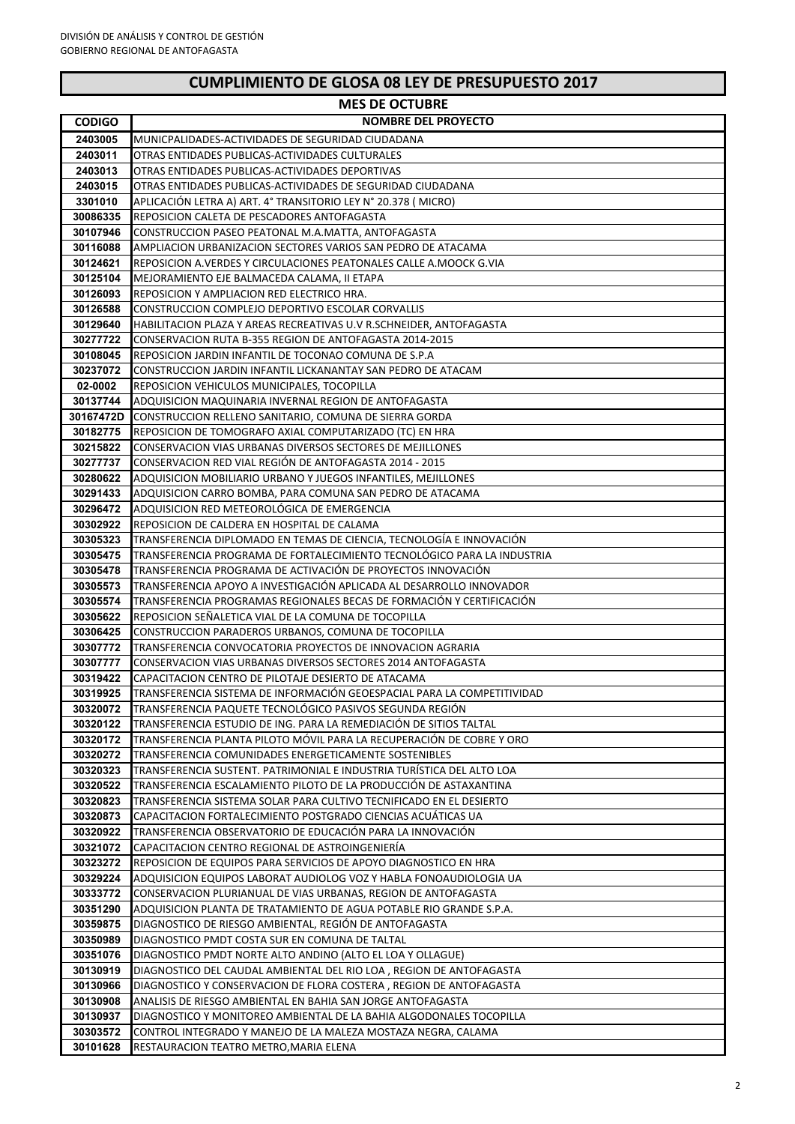|                      | <b>MES DE OCTUBRE</b>                                                                                                                      |
|----------------------|--------------------------------------------------------------------------------------------------------------------------------------------|
| <b>CODIGO</b>        | <b>NOMBRE DEL PROYECTO</b>                                                                                                                 |
| 2403005              | MUNICPALIDADES-ACTIVIDADES DE SEGURIDAD CIUDADANA                                                                                          |
| 2403011              | OTRAS ENTIDADES PUBLICAS-ACTIVIDADES CULTURALES                                                                                            |
| 2403013              | OTRAS ENTIDADES PUBLICAS-ACTIVIDADES DEPORTIVAS                                                                                            |
| 2403015              | OTRAS ENTIDADES PUBLICAS-ACTIVIDADES DE SEGURIDAD CIUDADANA                                                                                |
| 3301010              | APLICACIÓN LETRA A) ART. 4º TRANSITORIO LEY Nº 20.378 (MICRO)                                                                              |
| 30086335             | REPOSICION CALETA DE PESCADORES ANTOFAGASTA                                                                                                |
| 30107946             | CONSTRUCCION PASEO PEATONAL M.A.MATTA, ANTOFAGASTA                                                                                         |
| 30116088             | AMPLIACION URBANIZACION SECTORES VARIOS SAN PEDRO DE ATACAMA                                                                               |
| 30124621             | REPOSICION A.VERDES Y CIRCULACIONES PEATONALES CALLE A.MOOCK G.VIA                                                                         |
| 30125104             | MEJORAMIENTO EJE BALMACEDA CALAMA, II ETAPA                                                                                                |
| 30126093             | REPOSICION Y AMPLIACION RED ELECTRICO HRA.                                                                                                 |
| 30126588             | CONSTRUCCION COMPLEJO DEPORTIVO ESCOLAR CORVALLIS                                                                                          |
| 30129640             | HABILITACION PLAZA Y AREAS RECREATIVAS U.V R.SCHNEIDER, ANTOFAGASTA                                                                        |
| 30277722             | CONSERVACION RUTA B-355 REGION DE ANTOFAGASTA 2014-2015                                                                                    |
| 30108045             | REPOSICION JARDIN INFANTIL DE TOCONAO COMUNA DE S.P.A                                                                                      |
| 30237072             | CONSTRUCCION JARDIN INFANTIL LICKANANTAY SAN PEDRO DE ATACAM                                                                               |
| 02-0002              | REPOSICION VEHICULOS MUNICIPALES, TOCOPILLA                                                                                                |
| 30137744             | ADQUISICION MAQUINARIA INVERNAL REGION DE ANTOFAGASTA                                                                                      |
| 30167472D            | CONSTRUCCION RELLENO SANITARIO, COMUNA DE SIERRA GORDA                                                                                     |
| 30182775             | REPOSICION DE TOMOGRAFO AXIAL COMPUTARIZADO (TC) EN HRA                                                                                    |
| 30215822<br>30277737 | CONSERVACION VIAS URBANAS DIVERSOS SECTORES DE MEJILLONES<br>CONSERVACION RED VIAL REGIÓN DE ANTOFAGASTA 2014 - 2015                       |
| 30280622             | ADQUISICION MOBILIARIO URBANO Y JUEGOS INFANTILES, MEJILLONES                                                                              |
| 30291433             | ADQUISICION CARRO BOMBA, PARA COMUNA SAN PEDRO DE ATACAMA                                                                                  |
| 30296472             | ADQUISICION RED METEOROLÓGICA DE EMERGENCIA                                                                                                |
| 30302922             | REPOSICION DE CALDERA EN HOSPITAL DE CALAMA                                                                                                |
| 30305323             | TRANSFERENCIA DIPLOMADO EN TEMAS DE CIENCIA, TECNOLOGIA E INNOVACIÓN                                                                       |
| 30305475             | TRANSFERENCIA PROGRAMA DE FORTALECIMIENTO TECNOLÓGICO PARA LA INDUSTRIA                                                                    |
| 30305478             | TRANSFERENCIA PROGRAMA DE ACTIVACIÓN DE PROYECTOS INNOVACIÓN                                                                               |
| 30305573             | TRANSFERENCIA APOYO A INVESTIGACIÓN APLICADA AL DESARROLLO INNOVADOR                                                                       |
| 30305574             | TRANSFERENCIA PROGRAMAS REGIONALES BECAS DE FORMACION Y CERTIFICACION                                                                      |
| 30305622             | REPOSICION SEÑALETICA VIAL DE LA COMUNA DE TOCOPILLA                                                                                       |
| 30306425             | CONSTRUCCION PARADEROS URBANOS, COMUNA DE TOCOPILLA                                                                                        |
| 30307772             | TRANSFERENCIA CONVOCATORIA PROYECTOS DE INNOVACION AGRARIA                                                                                 |
| 30307777             | CONSERVACION VIAS URBANAS DIVERSOS SECTORES 2014 ANTOFAGASTA                                                                               |
| 30319422             | CAPACITACION CENTRO DE PILOTAJE DESIERTO DE ATACAMA                                                                                        |
| 30319925             | TRANSFERENCIA SISTEMA DE INFORMACIÓN GEOESPACIAL PARA LA COMPETITIVIDAD                                                                    |
| 30320072             | TRANSFERENCIA PAQUETE TECNOLÓGICO PASIVOS SEGUNDA REGIÓN                                                                                   |
| 30320122             | TRANSFERENCIA ESTUDIO DE ING. PARA LA REMEDIACION DE SITIOS TALTAL                                                                         |
| 30320172             | TRANSFERENCIA PLANTA PILOTO MOVIL PARA LA RECUPERACION DE COBRE Y ORO                                                                      |
| 30320272             | TRANSFERENCIA COMUNIDADES ENERGETICAMENTE SOSTENIBLES                                                                                      |
| 30320323<br>30320522 | TRANSFERENCIA SUSTENT. PATRIMONIAL E INDUSTRIA TURÍSTICA DEL ALTO LOA<br>TRANSFERENCIA ESCALAMIENTO PILOTO DE LA PRODUCCION DE ASTAXANTINA |
| 30320823             | TRANSFERENCIA SISTEMA SOLAR PARA CULTIVO TECNIFICADO EN EL DESIERTO                                                                        |
| 30320873             | CAPACITACION FORTALECIMIENTO POSTGRADO CIENCIAS ACUÁTICAS UA                                                                               |
| 30320922             | TRANSFERENCIA OBSERVATORIO DE EDUCACIÓN PARA LA INNOVACIÓN                                                                                 |
| 30321072             | CAPACITACION CENTRO REGIONAL DE ASTROINGENIERÍA                                                                                            |
| 30323272             | REPOSICION DE EQUIPOS PARA SERVICIOS DE APOYO DIAGNOSTICO EN HRA                                                                           |
| 30329224             | ADQUISICION EQUIPOS LABORAT AUDIOLOG VOZ Y HABLA FONOAUDIOLOGIA UA                                                                         |
| 30333772             | CONSERVACION PLURIANUAL DE VIAS URBANAS, REGION DE ANTOFAGASTA                                                                             |
| 30351290             | ADQUISICION PLANTA DE TRATAMIENTO DE AGUA POTABLE RIO GRANDE S.P.A.                                                                        |
| 30359875             | DIAGNOSTICO DE RIESGO AMBIENTAL, REGION DE ANTOFAGASTA                                                                                     |
| 30350989             | DIAGNOSTICO PMDT COSTA SUR EN COMUNA DE TALTAL                                                                                             |
| 30351076             | DIAGNOSTICO PMDT NORTE ALTO ANDINO (ALTO EL LOA Y OLLAGUE)                                                                                 |
| 30130919             | DIAGNOSTICO DEL CAUDAL AMBIENTAL DEL RIO LOA , REGION DE ANTOFAGASTA                                                                       |
| 30130966             | DIAGNOSTICO Y CONSERVACION DE FLORA COSTERA , REGION DE ANTOFAGASTA                                                                        |
| 30130908             | ANALISIS DE RIESGO AMBIENTAL EN BAHIA SAN JORGE ANTOFAGASTA                                                                                |
| 30130937             | DIAGNOSTICO Y MONITOREO AMBIENTAL DE LA BAHIA ALGODONALES TOCOPILLA                                                                        |
| 30303572             | CONTROL INTEGRADO Y MANEJO DE LA MALEZA MOSTAZA NEGRA, CALAMA                                                                              |
| 30101628             | RESTAURACION TEATRO METRO, MARIA ELENA                                                                                                     |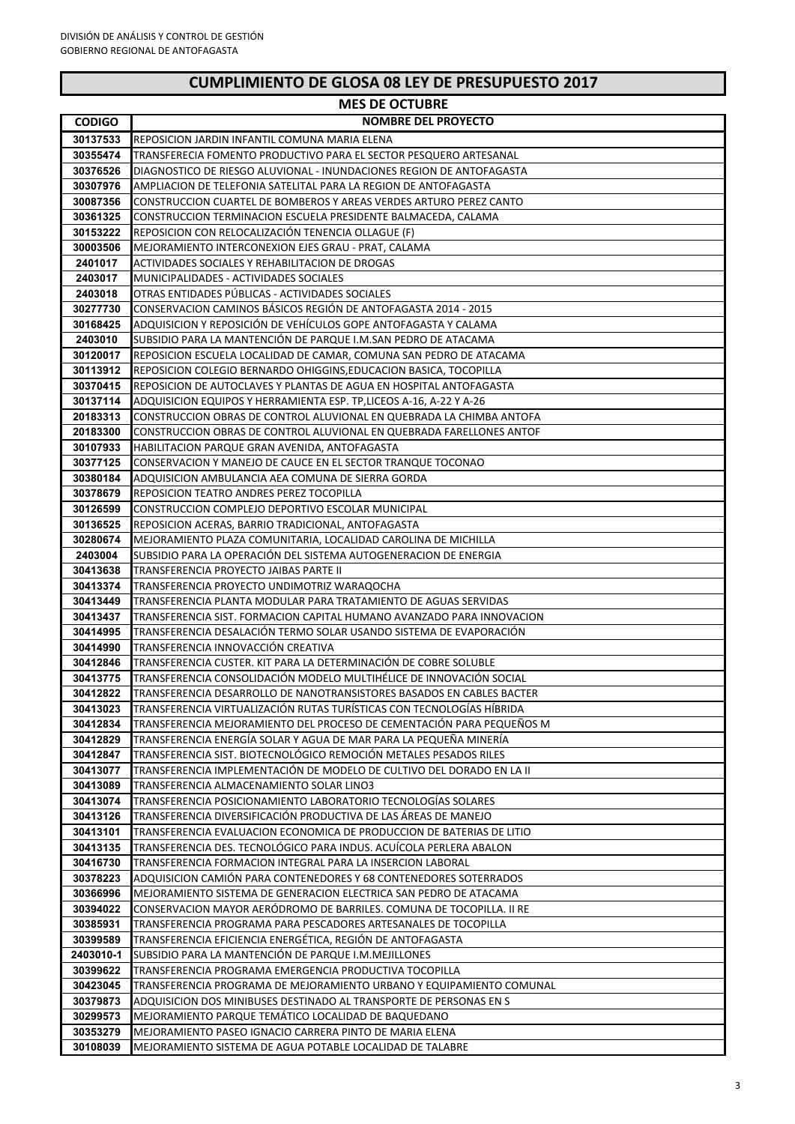| <b>MES DE OCTUBRE</b> |                                                                                                                                            |  |
|-----------------------|--------------------------------------------------------------------------------------------------------------------------------------------|--|
| <b>CODIGO</b>         | <b>NOMBRE DEL PROYECTO</b>                                                                                                                 |  |
| 30137533              | REPOSICION JARDIN INFANTIL COMUNA MARIA ELENA                                                                                              |  |
| 30355474              | TRANSFERECIA FOMENTO PRODUCTIVO PARA EL SECTOR PESQUERO ARTESANAL                                                                          |  |
| 30376526              | DIAGNOSTICO DE RIESGO ALUVIONAL - INUNDACIONES REGION DE ANTOFAGASTA                                                                       |  |
| 30307976              | AMPLIACION DE TELEFONIA SATELITAL PARA LA REGION DE ANTOFAGASTA                                                                            |  |
| 30087356              | CONSTRUCCION CUARTEL DE BOMBEROS Y AREAS VERDES ARTURO PEREZ CANTO                                                                         |  |
| 30361325              | CONSTRUCCION TERMINACION ESCUELA PRESIDENTE BALMACEDA, CALAMA                                                                              |  |
| 30153222              | REPOSICION CON RELOCALIZACIÓN TENENCIA OLLAGUE (F)                                                                                         |  |
| 30003506              | MEJORAMIENTO INTERCONEXION EJES GRAU - PRAT, CALAMA                                                                                        |  |
| 2401017               | <b>ACTIVIDADES SOCIALES Y REHABILITACION DE DROGAS</b>                                                                                     |  |
| 2403017               | MUNICIPALIDADES - ACTIVIDADES SOCIALES                                                                                                     |  |
| 2403018               | OTRAS ENTIDADES PÚBLICAS - ACTIVIDADES SOCIALES                                                                                            |  |
| 30277730              | CONSERVACION CAMINOS BÁSICOS REGIÓN DE ANTOFAGASTA 2014 - 2015                                                                             |  |
| 30168425              | ADQUISICION Y REPOSICIÓN DE VEHÍCULOS GOPE ANTOFAGASTA Y CALAMA                                                                            |  |
| 2403010               | SUBSIDIO PARA LA MANTENCIÓN DE PARQUE I.M.SAN PEDRO DE ATACAMA                                                                             |  |
| 30120017              | REPOSICION ESCUELA LOCALIDAD DE CAMAR, COMUNA SAN PEDRO DE ATACAMA                                                                         |  |
| 30113912              | REPOSICION COLEGIO BERNARDO OHIGGINS, EDUCACION BASICA, TOCOPILLA                                                                          |  |
| 30370415              | REPOSICION DE AUTOCLAVES Y PLANTAS DE AGUA EN HOSPITAL ANTOFAGASTA                                                                         |  |
| 30137114              | ADQUISICION EQUIPOS Y HERRAMIENTA ESP. TP,LICEOS A-16, A-22 Y A-26                                                                         |  |
| 20183313              | CONSTRUCCION OBRAS DE CONTROL ALUVIONAL EN QUEBRADA LA CHIMBA ANTOFA                                                                       |  |
| 20183300              | CONSTRUCCION OBRAS DE CONTROL ALUVIONAL EN QUEBRADA FARELLONES ANTOF                                                                       |  |
| 30107933              | <b>HABILITACION PARQUE GRAN AVENIDA, ANTOFAGASTA</b>                                                                                       |  |
| 30377125              | CONSERVACION Y MANEJO DE CAUCE EN EL SECTOR TRANQUE TOCONAO                                                                                |  |
| 30380184              | ADQUISICION AMBULANCIA AEA COMUNA DE SIERRA GORDA                                                                                          |  |
| 30378679              | <b>REPOSICION TEATRO ANDRES PEREZ TOCOPILLA</b>                                                                                            |  |
| 30126599              | CONSTRUCCION COMPLEJO DEPORTIVO ESCOLAR MUNICIPAL                                                                                          |  |
| 30136525              | REPOSICION ACERAS, BARRIO TRADICIONAL, ANTOFAGASTA                                                                                         |  |
| 30280674              | MEJORAMIENTO PLAZA COMUNITARIA, LOCALIDAD CAROLINA DE MICHILLA                                                                             |  |
| 2403004<br>30413638   | SUBSIDIO PARA LA OPERACION DEL SISTEMA AUTOGENERACION DE ENERGIA<br>TRANSFERENCIA PROYECTO JAIBAS PARTE II                                 |  |
| 30413374              | TRANSFERENCIA PROYECTO UNDIMOTRIZ WARAQOCHA                                                                                                |  |
| 30413449              | TRANSFERENCIA PLANTA MODULAR PARA TRATAMIENTO DE AGUAS SERVIDAS                                                                            |  |
| 30413437              | TRANSFERENCIA SIST. FORMACION CAPITAL HUMANO AVANZADO PARA INNOVACION                                                                      |  |
| 30414995              | TRANSFERENCIA DESALACIÓN TERMO SOLAR USANDO SISTEMA DE EVAPORACIÓN                                                                         |  |
| 30414990              | TRANSFERENCIA INNOVACCIÓN CREATIVA                                                                                                         |  |
| 30412846              | TRANSFERENCIA CUSTER. KIT PARA LA DETERMINACIÓN DE COBRE SOLUBLE                                                                           |  |
| 30413775              | TRANSFERENCIA CONSOLIDACIÓN MODELO MULTIHÉLICE DE INNOVACIÓN SOCIAL                                                                        |  |
| 30412822              | <b>TRANSFERENCIA DESARROLLO DE NANOTRANSISTORES BASADOS EN CABLES BACTER</b>                                                               |  |
| 30413023              | TRANSFERENCIA VIRTUALIZACIÓN RUTAS TURÍSTICAS CON TECNOLOGÍAS HÍBRIDA                                                                      |  |
| 30412834              | TRANSFERENCIA MEJORAMIENTO DEL PROCESO DE CEMENTACIÓN PARA PEQUEÑOS M                                                                      |  |
| 30412829              | TRANSFERENCIA ENERGÍA SOLAR Y AGUA DE MAR PARA LA PEQUEÑA MINERÍA                                                                          |  |
| 30412847              | TRANSFERENCIA SIST. BIOTECNOLÓGICO REMOCIÓN METALES PESADOS RILES                                                                          |  |
| 30413077              | TRANSFERENCIA IMPLEMENTACIÓN DE MODELO DE CULTIVO DEL DORADO EN LA II                                                                      |  |
| 30413089              | TRANSFERENCIA ALMACENAMIENTO SOLAR LINO3                                                                                                   |  |
| 30413074              | TRANSFERENCIA POSICIONAMIENTO LABORATORIO TECNOLOGÍAS SOLARES                                                                              |  |
| 30413126              | TRANSFERENCIA DIVERSIFICACIÓN PRODUCTIVA DE LAS ÁREAS DE MANEJO                                                                            |  |
| 30413101              | TRANSFERENCIA EVALUACION ECONOMICA DE PRODUCCION DE BATERIAS DE LITIO                                                                      |  |
| 30413135              | TRANSFERENCIA DES. TECNOLÓGICO PARA INDUS. ACUÍCOLA PERLERA ABALON                                                                         |  |
| 30416730              | TRANSFERENCIA FORMACION INTEGRAL PARA LA INSERCION LABORAL                                                                                 |  |
| 30378223              | ADQUISICION CAMIÓN PARA CONTENEDORES Y 68 CONTENEDORES SOTERRADOS                                                                          |  |
| 30366996              | MEJORAMIENTO SISTEMA DE GENERACION ELECTRICA SAN PEDRO DE ATACAMA                                                                          |  |
| 30394022              | CONSERVACION MAYOR AERODROMO DE BARRILES. COMUNA DE TOCOPILLA. II RE                                                                       |  |
| 30385931              | TRANSFERENCIA PROGRAMA PARA PESCADORES ARTESANALES DE TOCOPILLA                                                                            |  |
| 30399589              | TRANSFERENCIA EFICIENCIA ENERGÉTICA, REGIÓN DE ANTOFAGASTA                                                                                 |  |
| 2403010-1             | SUBSIDIO PARA LA MANTENCIÓN DE PARQUE I.M.MEJILLONES                                                                                       |  |
| 30399622              | TRANSFERENCIA PROGRAMA EMERGENCIA PRODUCTIVA TOCOPILLA                                                                                     |  |
| 30423045<br>30379873  | TRANSFERENCIA PROGRAMA DE MEJORAMIENTO URBANO Y EQUIPAMIENTO COMUNAL<br>ADQUISICION DOS MINIBUSES DESTINADO AL TRANSPORTE DE PERSONAS EN S |  |
| 30299573              | MEJORAMIENTO PARQUE TEMATICO LOCALIDAD DE BAQUEDANO                                                                                        |  |
| 30353279              | MEJORAMIENTO PASEO IGNACIO CARRERA PINTO DE MARIA ELENA                                                                                    |  |
| 30108039              | MEJORAMIENTO SISTEMA DE AGUA POTABLE LOCALIDAD DE TALABRE                                                                                  |  |
|                       |                                                                                                                                            |  |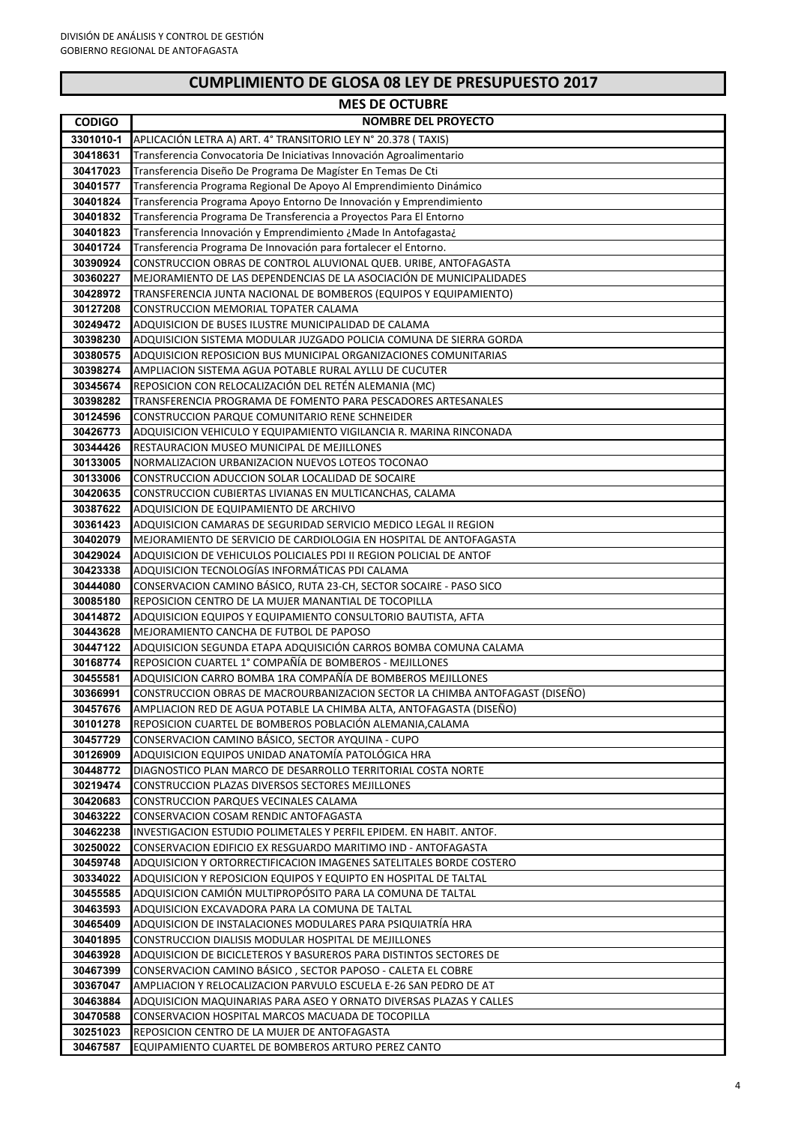|  |  | <b>CUMPLIMIENTO DE GLOSA 08 LEY DE PRESUPUESTO 2017</b> |
|--|--|---------------------------------------------------------|
|--|--|---------------------------------------------------------|

|                      | <b>MES DE OCTUBRE</b>                                                                                |
|----------------------|------------------------------------------------------------------------------------------------------|
| <b>CODIGO</b>        | <b>NOMBRE DEL PROYECTO</b>                                                                           |
| 3301010-1            | APLICACIÓN LETRA A) ART. 4° TRANSITORIO LEY N° 20.378 ( TAXIS)                                       |
| 30418631             | Transferencia Convocatoria De Iniciativas Innovación Agroalimentario                                 |
| 30417023             | Transferencia Diseño De Programa De Magíster En Temas De Cti                                         |
| 30401577             | Transferencia Programa Regional De Apoyo Al Emprendimiento Dinámico                                  |
| 30401824             | Transferencia Programa Apoyo Entorno De Innovación y Emprendimiento                                  |
| 30401832             | Transferencia Programa De Transferencia a Proyectos Para El Entorno                                  |
| 30401823             | Transferencia Innovación y Emprendimiento ¿Made In Antofagasta¿                                      |
| 30401724             | Transferencia Programa De Innovación para fortalecer el Entorno.                                     |
| 30390924             | CONSTRUCCION OBRAS DE CONTROL ALUVIONAL QUEB. URIBE, ANTOFAGASTA                                     |
| 30360227             | MEJORAMIENTO DE LAS DEPENDENCIAS DE LA ASOCIACIÓN DE MUNICIPALIDADES                                 |
| 30428972             | TRANSFERENCIA JUNTA NACIONAL DE BOMBEROS (EQUIPOS Y EQUIPAMIENTO)                                    |
| 30127208             | CONSTRUCCION MEMORIAL TOPATER CALAMA                                                                 |
| 30249472             | ADQUISICION DE BUSES ILUSTRE MUNICIPALIDAD DE CALAMA                                                 |
| 30398230             | ADQUISICION SISTEMA MODULAR JUZGADO POLICIA COMUNA DE SIERRA GORDA                                   |
| 30380575             | ADQUISICION REPOSICION BUS MUNICIPAL ORGANIZACIONES COMUNITARIAS                                     |
| 30398274             | AMPLIACION SISTEMA AGUA POTABLE RURAL AYLLU DE CUCUTER                                               |
| 30345674             | REPOSICION CON RELOCALIZACIÓN DEL RETÉN ALEMANIA (MC)                                                |
| 30398282             | TRANSFERENCIA PROGRAMA DE FOMENTO PARA PESCADORES ARTESANALES                                        |
| 30124596             | CONSTRUCCION PARQUE COMUNITARIO RENE SCHNEIDER                                                       |
| 30426773             | ADQUISICION VEHICULO Y EQUIPAMIENTO VIGILANCIA R. MARINA RINCONADA                                   |
| 30344426             | RESTAURACION MUSEO MUNICIPAL DE MEJILLONES                                                           |
| 30133005<br>30133006 | NORMALIZACION URBANIZACION NUEVOS LOTEOS TOCONAO<br>CONSTRUCCION ADUCCION SOLAR LOCALIDAD DE SOCAIRE |
| 30420635             | CONSTRUCCION CUBIERTAS LIVIANAS EN MULTICANCHAS, CALAMA                                              |
| 30387622             | ADQUISICION DE EQUIPAMIENTO DE ARCHIVO                                                               |
| 30361423             | ADQUISICION CAMARAS DE SEGURIDAD SERVICIO MEDICO LEGAL II REGION                                     |
| 30402079             | MEJORAMIENTO DE SERVICIO DE CARDIOLOGIA EN HOSPITAL DE ANTOFAGASTA                                   |
| 30429024             | ADQUISICION DE VEHICULOS POLICIALES PDI II REGION POLICIAL DE ANTOF                                  |
| 30423338             | ADQUISICION TECNOLOGÍAS INFORMÁTICAS PDI CALAMA                                                      |
| 30444080             | CONSERVACION CAMINO BÁSICO, RUTA 23-CH, SECTOR SOCAIRE - PASO SICO                                   |
| 30085180             | REPOSICION CENTRO DE LA MUJER MANANTIAL DE TOCOPILLA                                                 |
| 30414872             | ADQUISICION EQUIPOS Y EQUIPAMIENTO CONSULTORIO BAUTISTA, AFTA                                        |
| 30443628             | MEJORAMIENTO CANCHA DE FUTBOL DE PAPOSO                                                              |
| 30447122             | ADQUISICION SEGUNDA ETAPA ADQUISICIÓN CARROS BOMBA COMUNA CALAMA                                     |
| 30168774             | REPOSICION CUARTEL 1° COMPAÑÍA DE BOMBEROS - MEJILLONES                                              |
| 30455581             | ADQUISICION CARRO BOMBA 1RA COMPAÑÍA DE BOMBEROS MEJILLONES                                          |
| 30366991             | CONSTRUCCION OBRAS DE MACROURBANIZACION SECTOR LA CHIMBA ANTOFAGAST (DISEÑO)                         |
| 30457676             | AMPLIACION RED DE AGUA POTABLE LA CHIMBA ALTA, ANTOFAGASTA (DISEÑO)                                  |
| 30101278             | REPOSICION CUARTEL DE BOMBEROS POBLACIÓN ALEMANIA,CALAMA                                             |
| 30457729             | CONSERVACION CAMINO BÁSICO, SECTOR AYQUINA - CUPO                                                    |
| 30126909             | ADQUISICION EQUIPOS UNIDAD ANATOMÍA PATOLÓGICA HRA                                                   |
| 30448772             | DIAGNOSTICO PLAN MARCO DE DESARROLLO TERRITORIAL COSTA NORTE                                         |
| 30219474             | CONSTRUCCION PLAZAS DIVERSOS SECTORES MEJILLONES                                                     |
| 30420683<br>30463222 | CONSTRUCCION PARQUES VECINALES CALAMA<br>CONSERVACION COSAM RENDIC ANTOFAGASTA                       |
| 30462238             | INVESTIGACION ESTUDIO POLIMETALES Y PERFIL EPIDEM. EN HABIT. ANTOF.                                  |
| 30250022             | CONSERVACION EDIFICIO EX RESGUARDO MARITIMO IND - ANTOFAGASTA                                        |
| 30459748             | ADQUISICION Y ORTORRECTIFICACION IMAGENES SATELITALES BORDE COSTERO                                  |
| 30334022             | ADQUISICION Y REPOSICION EQUIPOS Y EQUIPTO EN HOSPITAL DE TALTAL                                     |
| 30455585             | ADQUISICION CAMIÓN MULTIPROPOSITO PARA LA COMUNA DE TALTAL                                           |
| 30463593             | ADQUISICION EXCAVADORA PARA LA COMUNA DE TALTAL                                                      |
| 30465409             | ADQUISICION DE INSTALACIONES MODULARES PARA PSIQUIATRIA HRA                                          |
| 30401895             | CONSTRUCCION DIALISIS MODULAR HOSPITAL DE MEJILLONES                                                 |
| 30463928             | ADQUISICION DE BICICLETEROS Y BASUREROS PARA DISTINTOS SECTORES DE                                   |
| 30467399             | CONSERVACION CAMINO BÁSICO, SECTOR PAPOSO - CALETA EL COBRE                                          |
| 30367047             | AMPLIACION Y RELOCALIZACION PARVULO ESCUELA E-26 SAN PEDRO DE AT                                     |
| 30463884             | ADQUISICION MAQUINARIAS PARA ASEO Y ORNATO DIVERSAS PLAZAS Y CALLES                                  |
| 30470588             | CONSERVACION HOSPITAL MARCOS MACUADA DE TOCOPILLA                                                    |
| 30251023             | REPOSICION CENTRO DE LA MUJER DE ANTOFAGASTA                                                         |
| 30467587             | EQUIPAMIENTO CUARTEL DE BOMBEROS ARTURO PEREZ CANTO                                                  |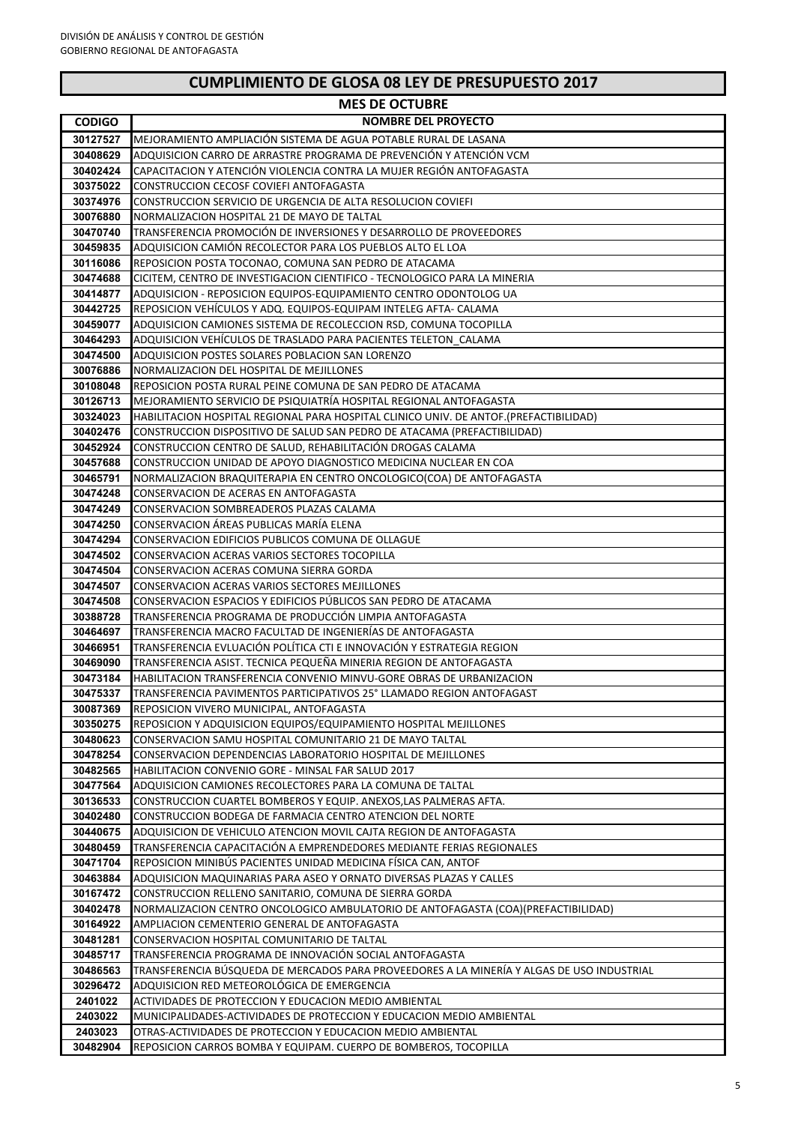| <b>MES DE OCTUBRE</b> |                                                                                                                                |  |
|-----------------------|--------------------------------------------------------------------------------------------------------------------------------|--|
| <b>CODIGO</b>         | <b>NOMBRE DEL PROYECTO</b>                                                                                                     |  |
| 30127527              | MEJORAMIENTO AMPLIACIÓN SISTEMA DE AGUA POTABLE RURAL DE LASANA                                                                |  |
| 30408629              | ADQUISICION CARRO DE ARRASTRE PROGRAMA DE PREVENCIÓN Y ATENCIÓN VCM                                                            |  |
| 30402424              | CAPACITACION Y ATENCIÓN VIOLENCIA CONTRA LA MUJER REGIÓN ANTOFAGASTA                                                           |  |
| 30375022              | CONSTRUCCION CECOSF COVIEFI ANTOFAGASTA                                                                                        |  |
| 30374976              | CONSTRUCCION SERVICIO DE URGENCIA DE ALTA RESOLUCION COVIEFI                                                                   |  |
| 30076880              | NORMALIZACION HOSPITAL 21 DE MAYO DE TALTAL                                                                                    |  |
| 30470740              | TRANSFERENCIA PROMOCIÓN DE INVERSIONES Y DESARROLLO DE PROVEEDORES                                                             |  |
| 30459835              | ADQUISICION CAMIÓN RECOLECTOR PARA LOS PUEBLOS ALTO EL LOA                                                                     |  |
| 30116086              | REPOSICION POSTA TOCONAO, COMUNA SAN PEDRO DE ATACAMA                                                                          |  |
| 30474688              | CICITEM, CENTRO DE INVESTIGACION CIENTIFICO - TECNOLOGICO PARA LA MINERIA                                                      |  |
| 30414877              | ADQUISICION - REPOSICION EQUIPOS-EQUIPAMIENTO CENTRO ODONTOLOG UA                                                              |  |
| 30442725              | REPOSICION VEHÍCULOS Y ADQ. EQUIPOS-EQUIPAM INTELEG AFTA- CALAMA                                                               |  |
| 30459077              | ADQUISICION CAMIONES SISTEMA DE RECOLECCION RSD, COMUNA TOCOPILLA                                                              |  |
| 30464293              | ADQUISICION VEHÍCULOS DE TRASLADO PARA PACIENTES TELETON_CALAMA                                                                |  |
| 30474500              | ADQUISICION POSTES SOLARES POBLACION SAN LORENZO                                                                               |  |
| 30076886              | NORMALIZACION DEL HOSPITAL DE MEJILLONES                                                                                       |  |
| 30108048              | REPOSICION POSTA RURAL PEINE COMUNA DE SAN PEDRO DE ATACAMA                                                                    |  |
| 30126713              | MEJORAMIENTO SERVICIO DE PSIQUIATRÍA HOSPITAL REGIONAL ANTOFAGASTA                                                             |  |
| 30324023              | HABILITACION HOSPITAL REGIONAL PARA HOSPITAL CLINICO UNIV. DE ANTOF.(PREFACTIBILIDAD)                                          |  |
| 30402476              | CONSTRUCCION DISPOSITIVO DE SALUD SAN PEDRO DE ATACAMA (PREFACTIBILIDAD)                                                       |  |
| 30452924              | CONSTRUCCION CENTRO DE SALUD, REHABILITACIÓN DROGAS CALAMA                                                                     |  |
| 30457688              | CONSTRUCCION UNIDAD DE APOYO DIAGNOSTICO MEDICINA NUCLEAR EN COA                                                               |  |
| 30465791              | NORMALIZACION BRAQUITERAPIA EN CENTRO ONCOLOGICO(COA) DE ANTOFAGASTA                                                           |  |
| 30474248              | CONSERVACION DE ACERAS EN ANTOFAGASTA                                                                                          |  |
| 30474249              | CONSERVACION SOMBREADEROS PLAZAS CALAMA                                                                                        |  |
| 30474250              | CONSERVACION ÁREAS PUBLICAS MARÍA ELENA                                                                                        |  |
| 30474294              | CONSERVACION EDIFICIOS PUBLICOS COMUNA DE OLLAGUE                                                                              |  |
| 30474502              | CONSERVACION ACERAS VARIOS SECTORES TOCOPILLA                                                                                  |  |
| 30474504              | CONSERVACION ACERAS COMUNA SIERRA GORDA                                                                                        |  |
| 30474507              | CONSERVACION ACERAS VARIOS SECTORES MEJILLONES                                                                                 |  |
| 30474508              | CONSERVACION ESPACIOS Y EDIFICIOS PÚBLICOS SAN PEDRO DE ATACAMA                                                                |  |
| 30388728              | TRANSFERENCIA PROGRAMA DE PRODUCCIÓN LIMPIA ANTOFAGASTA                                                                        |  |
| 30464697              | TRANSFERENCIA MACRO FACULTAD DE INGENIERÍAS DE ANTOFAGASTA                                                                     |  |
| 30466951              | TRANSFERENCIA EVLUACIÓN POLÍTICA CTI E INNOVACIÓN Y ESTRATEGIA REGION                                                          |  |
| 30469090              | TRANSFERENCIA ASIST. TECNICA PEQUEÑA MINERIA REGION DE ANTOFAGASTA                                                             |  |
| 30473184              | HABILITACION TRANSFERENCIA CONVENIO MINVU-GORE OBRAS DE URBANIZACION                                                           |  |
| 30475337              | TRANSFERENCIA PAVIMENTOS PARTICIPATIVOS 25° LLAMADO REGION ANTOFAGAST                                                          |  |
| 30087369              | REPOSICION VIVERO MUNICIPAL, ANTOFAGASTA                                                                                       |  |
| 30350275              | REPOSICION Y ADQUISICION EQUIPOS/EQUIPAMIENTO HOSPITAL MEJILLONES                                                              |  |
| 30480623              | CONSERVACION SAMU HOSPITAL COMUNITARIO 21 DE MAYO TALTAL                                                                       |  |
| 30478254<br>30482565  | CONSERVACION DEPENDENCIAS LABORATORIO HOSPITAL DE MEJILLONES                                                                   |  |
| 30477564              | HABILITACION CONVENIO GORE - MINSAL FAR SALUD 2017                                                                             |  |
| 30136533              | ADQUISICION CAMIONES RECOLECTORES PARA LA COMUNA DE TALTAL<br>CONSTRUCCION CUARTEL BOMBEROS Y EQUIP. ANEXOS,LAS PALMERAS AFTA. |  |
| 30402480              | CONSTRUCCION BODEGA DE FARMACIA CENTRO ATENCION DEL NORTE                                                                      |  |
| 30440675              | ADQUISICION DE VEHICULO ATENCION MOVIL CAJTA REGION DE ANTOFAGASTA                                                             |  |
| 30480459              | TRANSFERENCIA CAPACITACIÓN A EMPRENDEDORES MEDIANTE FERIAS REGIONALES                                                          |  |
| 30471704              | REPOSICION MINIBÚS PACIENTES UNIDAD MEDICINA FÍSICA CAN, ANTOF                                                                 |  |
| 30463884              | ADQUISICION MAQUINARIAS PARA ASEO Y ORNATO DIVERSAS PLAZAS Y CALLES                                                            |  |
| 30167472              | CONSTRUCCION RELLENO SANITARIO, COMUNA DE SIERRA GORDA                                                                         |  |
| 30402478              | NORMALIZACION CENTRO ONCOLOGICO AMBULATORIO DE ANTOFAGASTA (COA)(PREFACTIBILIDAD)                                              |  |
| 30164922              | AMPLIACION CEMENTERIO GENERAL DE ANTOFAGASTA                                                                                   |  |
| 30481281              | CONSERVACION HOSPITAL COMUNITARIO DE TALTAL                                                                                    |  |
| 30485717              | TRANSFERENCIA PROGRAMA DE INNOVACIÓN SOCIAL ANTOFAGASTA                                                                        |  |
| 30486563              | TRANSFERENCIA BÚSQUEDA DE MERCADOS PARA PROVEEDORES A LA MINERÍA Y ALGAS DE USO INDUSTRIAL                                     |  |
| 30296472              | ADQUISICION RED METEOROLÓGICA DE EMERGENCIA                                                                                    |  |
| 2401022               | ACTIVIDADES DE PROTECCION Y EDUCACION MEDIO AMBIENTAL                                                                          |  |
| 2403022               | MUNICIPALIDADES-ACTIVIDADES DE PROTECCION Y EDUCACION MEDIO AMBIENTAL                                                          |  |
| 2403023               | OTRAS-ACTIVIDADES DE PROTECCION Y EDUCACION MEDIO AMBIENTAL                                                                    |  |
| 30482904              | REPOSICION CARROS BOMBA Y EQUIPAM. CUERPO DE BOMBEROS, TOCOPILLA                                                               |  |